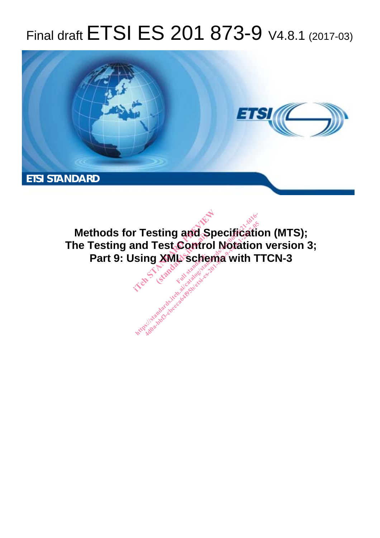# Final draft ETSI ES 201 873-9 V4.8.1 (2017-03)



**Methods for Testing and Specification (MTS); The Testing and Test Control Notation version 3;**  Part 9: Using XML schema with TTCN-3 **r Testing and Spectrum Test Control No.**<br>Ising XML schema<sup>Ter</sup><br>Ising XML schemaTer **Sting and Space**<br>Fest Contro<br>Liga<sup>dard</sup>: ht ps:/ standards.iteh.ai/catalog/standards/sist/0df5fc21-fd16- [4d0a-bbf3-cbeeca64f95b/etsi-es-201-873-9-v4.8.1-2017-05](���vp�33����Ј�}�%$>H.�P��&�/Q:�CSe��J� �P�Q��}
(@�w[	��7VA���@�_޵qeq �8zhͤBm�"i~^��E���l�	����
!TKӄ�s)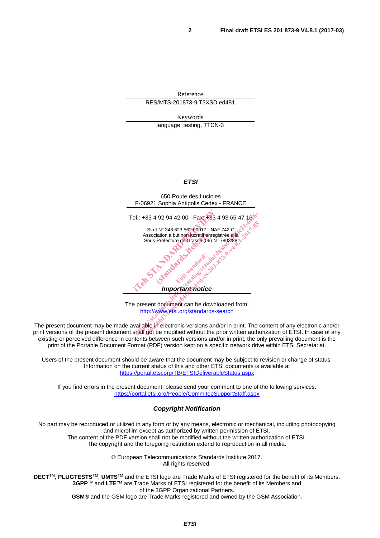Reference RES/MTS-201873-9 T3XSD ed481

Keywords

language, testing, TTCN-3

#### *ETSI*



The present document can be downloaded from: http://www.etsi.org/standards-search

The present document may be made available in electronic versions and/or in print. The content of any electronic and/or print versions of the present document shall not be modified without the prior written authorization of ETSI. In case of any existing or perceived difference in contents between such versions and/or in print, the only prevailing document is the print of the Portable Document Format (PDF) version kept on a specific network drive within ETSI Secretariat.

Users of the present document should be aware that the document may be subject to revision or change of status. Information on the current status of this and other ETSI documents is available at https://portal.etsi.org/TB/ETSIDeliverableStatus.aspx

If you find errors in the present document, please send your comment to one of the following services: https://portal.etsi.org/People/CommiteeSupportStaff.aspx

#### *Copyright Notification*

No part may be reproduced or utilized in any form or by any means, electronic or mechanical, including photocopying and microfilm except as authorized by written permission of ETSI. The content of the PDF version shall not be modified without the written authorization of ETSI.

The copyright and the foregoing restriction extend to reproduction in all media.

© European Telecommunications Standards Institute 2017. All rights reserved.

**DECT**TM, **PLUGTESTS**TM, **UMTS**TM and the ETSI logo are Trade Marks of ETSI registered for the benefit of its Members. **3GPP**TM and **LTE**™ are Trade Marks of ETSI registered for the benefit of its Members and of the 3GPP Organizational Partners.

**GSM**® and the GSM logo are Trade Marks registered and owned by the GSM Association.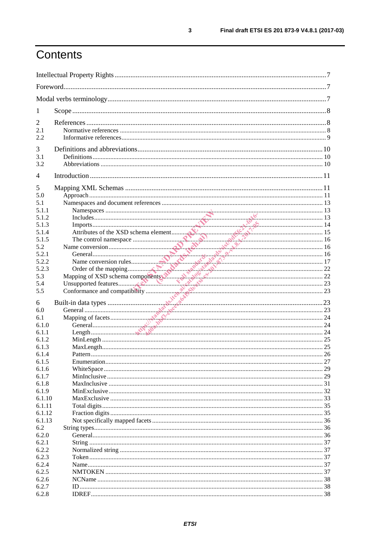# Contents

| 1              |  |  |  |
|----------------|--|--|--|
| $\overline{c}$ |  |  |  |
| 2.1            |  |  |  |
| 2.2            |  |  |  |
| 3              |  |  |  |
| 3.1            |  |  |  |
| 3.2            |  |  |  |
|                |  |  |  |
| 4              |  |  |  |
| 5              |  |  |  |
| 5.0            |  |  |  |
| 5.1            |  |  |  |
| 5.1.1          |  |  |  |
| 5.1.2          |  |  |  |
| 5.1.3          |  |  |  |
| 5.1.4          |  |  |  |
| 5.1.5          |  |  |  |
| 5.2<br>5.2.1   |  |  |  |
| 5.2.2          |  |  |  |
| 5.2.3          |  |  |  |
| 5.3            |  |  |  |
| 5.4            |  |  |  |
| 5.5            |  |  |  |
|                |  |  |  |
| 6              |  |  |  |
| 6.0            |  |  |  |
| 6.1            |  |  |  |
| 6.1.0          |  |  |  |
| 6.1.1          |  |  |  |
| 6.1.2          |  |  |  |
| 6.1.3<br>6.1.4 |  |  |  |
| 6.1.5          |  |  |  |
| 6.1.6          |  |  |  |
| 6.1.7          |  |  |  |
| 6.1.8          |  |  |  |
| 6.1.9          |  |  |  |
| 6.1.10         |  |  |  |
| 6.1.11         |  |  |  |
| 6.1.12         |  |  |  |
| 6.1.13         |  |  |  |
| 6.2            |  |  |  |
| 6.2.0          |  |  |  |
| 6.2.1          |  |  |  |
| 6.2.2          |  |  |  |
| 6.2.3          |  |  |  |
| 6.2.4          |  |  |  |
| 6.2.5          |  |  |  |
| 6.2.6          |  |  |  |
| 6.2.7          |  |  |  |
| 6.2.8          |  |  |  |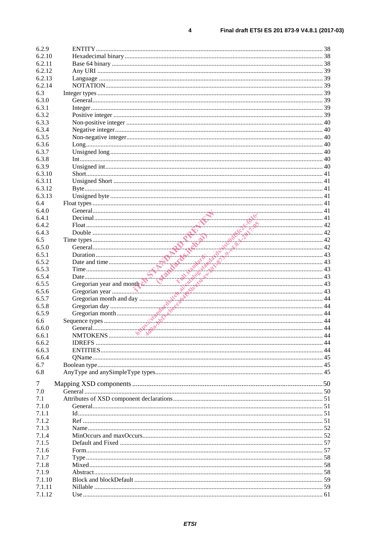$\overline{\mathbf{4}}$ 

| 6.2.9            |                                                                                                                                                                                                                                                                                                                                                                                                                                                                           |  |
|------------------|---------------------------------------------------------------------------------------------------------------------------------------------------------------------------------------------------------------------------------------------------------------------------------------------------------------------------------------------------------------------------------------------------------------------------------------------------------------------------|--|
| 6.2.10           |                                                                                                                                                                                                                                                                                                                                                                                                                                                                           |  |
| 6.2.11           |                                                                                                                                                                                                                                                                                                                                                                                                                                                                           |  |
| 6.2.12           |                                                                                                                                                                                                                                                                                                                                                                                                                                                                           |  |
| 6.2.13           |                                                                                                                                                                                                                                                                                                                                                                                                                                                                           |  |
| 6.2.14           |                                                                                                                                                                                                                                                                                                                                                                                                                                                                           |  |
| 6.3              |                                                                                                                                                                                                                                                                                                                                                                                                                                                                           |  |
| 6.3.0            |                                                                                                                                                                                                                                                                                                                                                                                                                                                                           |  |
| 6.3.1            |                                                                                                                                                                                                                                                                                                                                                                                                                                                                           |  |
| 6.3.2            |                                                                                                                                                                                                                                                                                                                                                                                                                                                                           |  |
| 6.3.3            |                                                                                                                                                                                                                                                                                                                                                                                                                                                                           |  |
| 6.3.4            |                                                                                                                                                                                                                                                                                                                                                                                                                                                                           |  |
| 6.3.5            |                                                                                                                                                                                                                                                                                                                                                                                                                                                                           |  |
| 6.3.6            |                                                                                                                                                                                                                                                                                                                                                                                                                                                                           |  |
| 6.3.7            |                                                                                                                                                                                                                                                                                                                                                                                                                                                                           |  |
| 6.3.8            |                                                                                                                                                                                                                                                                                                                                                                                                                                                                           |  |
| 6.3.9            |                                                                                                                                                                                                                                                                                                                                                                                                                                                                           |  |
| 6.3.10           |                                                                                                                                                                                                                                                                                                                                                                                                                                                                           |  |
| 6.3.11           |                                                                                                                                                                                                                                                                                                                                                                                                                                                                           |  |
| 6.3.12           |                                                                                                                                                                                                                                                                                                                                                                                                                                                                           |  |
| 6.3.13           |                                                                                                                                                                                                                                                                                                                                                                                                                                                                           |  |
| 6.4              |                                                                                                                                                                                                                                                                                                                                                                                                                                                                           |  |
|                  |                                                                                                                                                                                                                                                                                                                                                                                                                                                                           |  |
| 6.4.0            |                                                                                                                                                                                                                                                                                                                                                                                                                                                                           |  |
| 6.4.1            |                                                                                                                                                                                                                                                                                                                                                                                                                                                                           |  |
| 6.4.2            |                                                                                                                                                                                                                                                                                                                                                                                                                                                                           |  |
| 6.4.3            |                                                                                                                                                                                                                                                                                                                                                                                                                                                                           |  |
| 6.5              |                                                                                                                                                                                                                                                                                                                                                                                                                                                                           |  |
| 6.5.0            |                                                                                                                                                                                                                                                                                                                                                                                                                                                                           |  |
| 6.5.1            |                                                                                                                                                                                                                                                                                                                                                                                                                                                                           |  |
| 6.5.2            |                                                                                                                                                                                                                                                                                                                                                                                                                                                                           |  |
| 6.5.3            |                                                                                                                                                                                                                                                                                                                                                                                                                                                                           |  |
| 6.5.4            |                                                                                                                                                                                                                                                                                                                                                                                                                                                                           |  |
| 6.5.5            |                                                                                                                                                                                                                                                                                                                                                                                                                                                                           |  |
| 6.5.6            |                                                                                                                                                                                                                                                                                                                                                                                                                                                                           |  |
| 6.5.7            |                                                                                                                                                                                                                                                                                                                                                                                                                                                                           |  |
| 6.5.8            |                                                                                                                                                                                                                                                                                                                                                                                                                                                                           |  |
| 6.5.9            | $\begin{array}{ c c c }\n\hline\nF out\\ \hline\nDouble\\ \hline\nOne types\\ \hline\nOne terms of the equation\n\end{array}\n\qquad \qquad \begin{array}{ c c c }\n\hline\n42 & 42 \\ \hline\n242 & 42 \\ \hline\nDrational\\ \hline\nDate and time\\ \hline\nThe\\ \hline\nDate and time\\ \hline\nGregorian year and monif\n\end{array}\n\qquad \qquad \begin{array}{ c c }\n\hline\n56 & 43 \\ \hline\n67 & 44 \\ \hline\n67 & 43 \\ \hline\n67 & 44 \\ \hline\n67 &$ |  |
| 6.6              |                                                                                                                                                                                                                                                                                                                                                                                                                                                                           |  |
| 6.6.0            |                                                                                                                                                                                                                                                                                                                                                                                                                                                                           |  |
| 6.6.1            |                                                                                                                                                                                                                                                                                                                                                                                                                                                                           |  |
| 6.6.2            |                                                                                                                                                                                                                                                                                                                                                                                                                                                                           |  |
| 6.6.3            |                                                                                                                                                                                                                                                                                                                                                                                                                                                                           |  |
| 6.6.4            |                                                                                                                                                                                                                                                                                                                                                                                                                                                                           |  |
| 6.7              |                                                                                                                                                                                                                                                                                                                                                                                                                                                                           |  |
| 6.8              |                                                                                                                                                                                                                                                                                                                                                                                                                                                                           |  |
| 7                |                                                                                                                                                                                                                                                                                                                                                                                                                                                                           |  |
| 7.0              |                                                                                                                                                                                                                                                                                                                                                                                                                                                                           |  |
| 7.1              |                                                                                                                                                                                                                                                                                                                                                                                                                                                                           |  |
| 7.1.0            |                                                                                                                                                                                                                                                                                                                                                                                                                                                                           |  |
| 7.1.1            |                                                                                                                                                                                                                                                                                                                                                                                                                                                                           |  |
| 7.1.2            |                                                                                                                                                                                                                                                                                                                                                                                                                                                                           |  |
| 7.1.3            |                                                                                                                                                                                                                                                                                                                                                                                                                                                                           |  |
| 7.1.4            |                                                                                                                                                                                                                                                                                                                                                                                                                                                                           |  |
|                  |                                                                                                                                                                                                                                                                                                                                                                                                                                                                           |  |
|                  |                                                                                                                                                                                                                                                                                                                                                                                                                                                                           |  |
| 7.1.5            |                                                                                                                                                                                                                                                                                                                                                                                                                                                                           |  |
| 7.1.6            |                                                                                                                                                                                                                                                                                                                                                                                                                                                                           |  |
| 7.1.7            |                                                                                                                                                                                                                                                                                                                                                                                                                                                                           |  |
| 7.1.8            |                                                                                                                                                                                                                                                                                                                                                                                                                                                                           |  |
| 7.1.9            |                                                                                                                                                                                                                                                                                                                                                                                                                                                                           |  |
| 7.1.10           |                                                                                                                                                                                                                                                                                                                                                                                                                                                                           |  |
| 7.1.11<br>7.1.12 |                                                                                                                                                                                                                                                                                                                                                                                                                                                                           |  |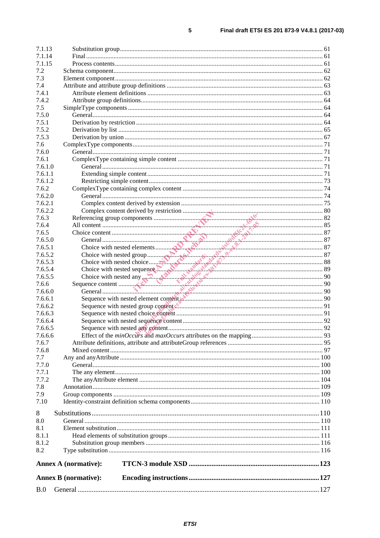| B.0            |                             |  |
|----------------|-----------------------------|--|
|                | <b>Annex B</b> (normative): |  |
|                | <b>Annex A (normative):</b> |  |
| 8.2            |                             |  |
| 8.1.2          |                             |  |
| 8.1.1          |                             |  |
| 8.1            |                             |  |
| 8.0            |                             |  |
| 8              |                             |  |
|                |                             |  |
| 7.10           |                             |  |
| 7.9            |                             |  |
| 7.8            |                             |  |
| 7.7.1<br>7.7.2 |                             |  |
| 7.7.0          |                             |  |
| 7.7            |                             |  |
| 7.6.8          |                             |  |
| 7.6.7          |                             |  |
| 7.6.6.6        |                             |  |
| 7.6.6.5        |                             |  |
| 7.6.6.4        |                             |  |
| 7.6.6.3        |                             |  |
| 7.6.6.2        |                             |  |
| 7.6.6.1        |                             |  |
| 7.6.6.0        |                             |  |
| 7.6.6          |                             |  |
| 7.6.5.5        |                             |  |
| 7.6.5.4        |                             |  |
| 7.6.5.3        |                             |  |
| 7.6.5.2        |                             |  |
| 7.6.5.1        |                             |  |
| 7.6.5.0        |                             |  |
| 7.6.5          |                             |  |
| 7.6.4          |                             |  |
| 7.6.3          |                             |  |
| 7.6.2.2        |                             |  |
| 7.6.2.1        |                             |  |
| 7.6.2.0        |                             |  |
| 7.6.2          |                             |  |
| 7.6.1.2        |                             |  |
| 7.6.1.1        |                             |  |
| 7.6.1.0        |                             |  |
| 7.6.1          |                             |  |
| 7.6.0          |                             |  |
| 7.6            |                             |  |
| 7.5.3          |                             |  |
| 7.5.2          |                             |  |
| 7.5.1          |                             |  |
| 7.5.0          |                             |  |
| 7.5            |                             |  |
| 7.4.1<br>7.4.2 |                             |  |
| 7.4            |                             |  |
| 7.3            |                             |  |
| 7.2            |                             |  |
| 7.1.15         |                             |  |
| 7.1.14         |                             |  |
| 7.1.13         |                             |  |
|                |                             |  |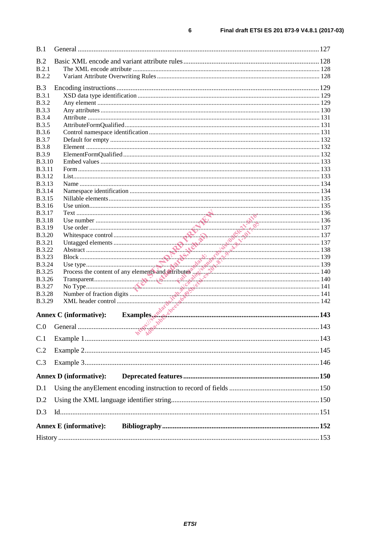| B.1           |                               |  |
|---------------|-------------------------------|--|
| B.2           |                               |  |
| B.2.1         |                               |  |
| <b>B.2.2</b>  |                               |  |
|               |                               |  |
| B.3           |                               |  |
| B.3.1         |                               |  |
| <b>B.3.2</b>  |                               |  |
| <b>B.3.3</b>  |                               |  |
| <b>B.3.4</b>  |                               |  |
| <b>B.3.5</b>  |                               |  |
| <b>B.3.6</b>  |                               |  |
| <b>B.3.7</b>  |                               |  |
| <b>B.3.8</b>  |                               |  |
| <b>B.3.9</b>  |                               |  |
| <b>B.3.10</b> |                               |  |
| <b>B.3.11</b> |                               |  |
| <b>B.3.12</b> |                               |  |
| <b>B.3.13</b> |                               |  |
| <b>B.3.14</b> |                               |  |
| <b>B.3.15</b> |                               |  |
| <b>B.3.16</b> |                               |  |
| <b>B.3.17</b> |                               |  |
| <b>B.3.18</b> |                               |  |
| B.3.19        |                               |  |
| <b>B.3.20</b> |                               |  |
|               |                               |  |
| <b>B.3.21</b> |                               |  |
| <b>B.3.22</b> |                               |  |
| <b>B.3.23</b> |                               |  |
| <b>B.3.24</b> |                               |  |
| <b>B.3.25</b> |                               |  |
| <b>B.3.26</b> |                               |  |
| <b>B.3.27</b> |                               |  |
| <b>B.3.28</b> |                               |  |
| B.3.29        |                               |  |
|               | <b>Annex C</b> (informative): |  |
|               |                               |  |
| C.0           |                               |  |
| C.1           | $\mathcal{L}$ $\mathcal{L}$   |  |
|               |                               |  |
| C.2           |                               |  |
| C.3           |                               |  |
|               | <b>Annex D</b> (informative): |  |
| D.1           |                               |  |
| D.2           |                               |  |
|               |                               |  |
| D.3           |                               |  |
|               | <b>Annex E</b> (informative): |  |
|               |                               |  |
|               |                               |  |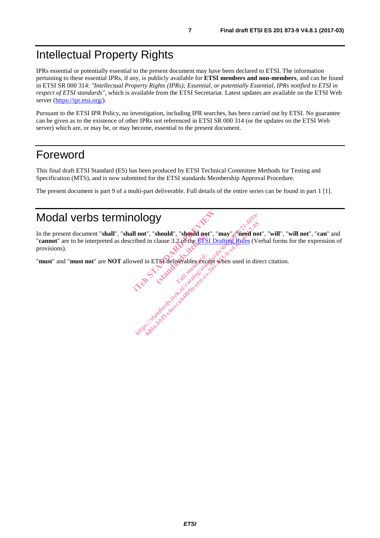### Intellectual Property Rights

IPRs essential or potentially essential to the present document may have been declared to ETSI. The information pertaining to these essential IPRs, if any, is publicly available for **ETSI members and non-members**, and can be found in ETSI SR 000 314: *"Intellectual Property Rights (IPRs); Essential, or potentially Essential, IPRs notified to ETSI in respect of ETSI standards"*, which is available from the ETSI Secretariat. Latest updates are available on the ETSI Web server (https://ipr.etsi.org/).

Pursuant to the ETSI IPR Policy, no investigation, including IPR searches, has been carried out by ETSI. No guarantee can be given as to the existence of other IPRs not referenced in ETSI SR 000 314 (or the updates on the ETSI Web server) which are, or may be, or may become, essential to the present document.

### Foreword

This final draft ETSI Standard (ES) has been produced by ETSI Technical Committee Methods for Testing and Specification (MTS), and is now submitted for the ETSI standards Membership Approval Procedure.

The present document is part 9 of a multi-part deliverable. Full details of the entire series can be found in part 1 [1].

### Modal verbs terminology

In the present document "**shall**", "**shall not**", "**should**", "**should not**", "**may**", "**need not**", "**will**", "**will not**", "**can**" and "**cannot**" are to be interpreted as described in clause 3.2 of the ETSI Drafting Rules (Verbal forms for the expression of provisions). Il not", "should", "should not", "may<br>ribed in clause 3.2 of the ETSI Drafting<br>wed in ETSI deliverables except when should", "should not"<br>clause 3.2 of the ETSI DIOGY<br>
I not", "should", "should not", "may", "heed not<br>
ibed in clause 3.2 of the ETSI Drafting Rules (Ver<br>
wed in ETSI deliverables except when used in dire<br>
wed in ETSI deliverables except when used in dire<br>
the standar 4do a-bbs 3.2 of the BTSI Drafting Rules (Ve in clause 3.2 of the BTSI Drafting Rules (Ve in clause 3.2 of the BTSI Drafting Rules (Ve in the State of the BTSI Drafting Rules (Ve in the State of the BTSI Drafting Rules (Ve

"**must**" and "**must not**" are **NOT** allowed in ETSI deliverables except when used in direct citation. Full state of condition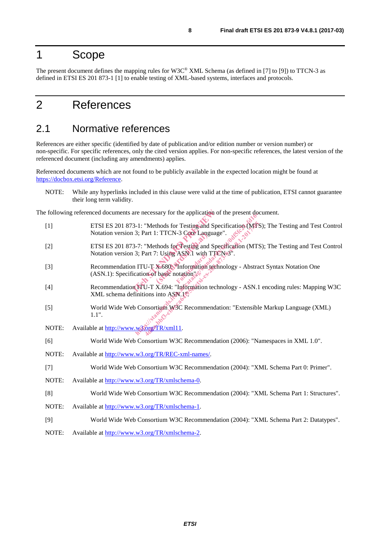### 1 Scope

The present document defines the mapping rules for W3C® XML Schema (as defined in [7] to [9]) to TTCN-3 as defined in ETSI ES 201 873-1 [1] to enable testing of XML-based systems, interfaces and protocols.

### 2 References

#### 2.1 Normative references

References are either specific (identified by date of publication and/or edition number or version number) or non-specific. For specific references, only the cited version applies. For non-specific references, the latest version of the referenced document (including any amendments) applies.

Referenced documents which are not found to be publicly available in the expected location might be found at https://docbox.etsi.org/Reference.

NOTE: While any hyperlinks included in this clause were valid at the time of publication, ETSI cannot guarantee their long term validity.

The following referenced documents are necessary for the application of the present document.

- [1] ETSI ES 201 873-1: "Methods for Testing and Specification (MTS); The Testing and Test Control Notation version 3; Part 1: TTCN-3 Core Language".
- [2] ETSI ES 201 873-7: "Methods for Testing and Specification (MTS); The Testing and Test Control Notation version 3; Part 7: Using ASN.1 with TTCN-3".
- [3] Recommendation ITU-T X.680: "Information technology Abstract Syntax Notation One  $(ASN.1)$ : Specification of basic notation". are necessary for the application of the<br>3-1: "Methods for Testing and Specific<br>13; Part 1: TTCN-3 Core Language".<br>3-7: "Methods for Testing and Specific<br>3. Part 7: Using ASN. I with TTCN-3<br>n ITU-T X-680. "Information tech (e. Prick)<br>thods for Testing and S.<br>7: Using ASN 1 with T.<br>8680. Theorem is the basic notation is Full with the http://web.com/monthlandards.ite/standards.iteh.ai/catalog 1-1: "Methods for Testing and Specification (MTS)<br>3; Part 1: TTCN-3 Core Language".<br>-7: "Methods for Testing and Specification (MTS)<br>3; Part 7: Using ASN.1 with TT Wethods for Testing and Specification (MTS<br>
Part 1: TTCN-3 Core Language".<br>
"Methods for Testing and Specification (MTS<br>
"art 7: Using ASN.1 with TTCN-3".<br>
U-T X-680. Information technology - Abstration of basic notation (
- [4] Recommendation ITU-T X.694: "Information technology ASN.1 encoding rules: Mapping W3C XML schema definitions into ASN.1<sup>®</sup>.
- [5] World Wide Web Consortium W3C Recommendation: "Extensible Markup Language (XML) 1.1".
- NOTE: Available at http://www.w3.org/TR/xml11.
- [6] World Wide Web Consortium W3C Recommendation (2006): "Namespaces in XML 1.0".
- NOTE: Available at http://www.w3.org/TR/REC-xml-names/.
- [7] World Wide Web Consortium W3C Recommendation (2004): "XML Schema Part 0: Primer".
- NOTE: Available at http://www.w3.org/TR/xmlschema-0.
- [8] World Wide Web Consortium W3C Recommendation (2004): "XML Schema Part 1: Structures".
- NOTE: Available at http://www.w3.org/TR/xmlschema-1.
- [9] World Wide Web Consortium W3C Recommendation (2004): "XML Schema Part 2: Datatypes".
- NOTE: Available at http://www.w3.org/TR/xmlschema-2.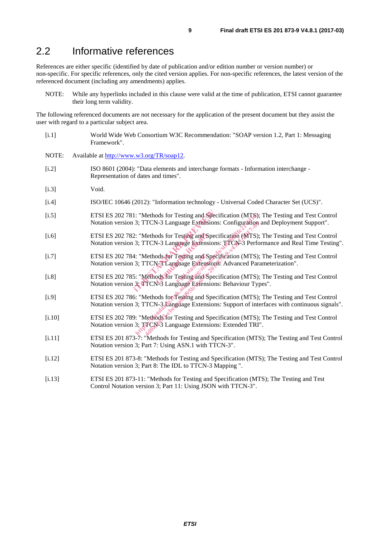### 2.2 Informative references

References are either specific (identified by date of publication and/or edition number or version number) or non-specific. For specific references, only the cited version applies. For non-specific references, the latest version of the referenced document (including any amendments) applies.

NOTE: While any hyperlinks included in this clause were valid at the time of publication, ETSI cannot guarantee their long term validity.

The following referenced documents are not necessary for the application of the present document but they assist the user with regard to a particular subject area.

- [i.1] World Wide Web Consortium W3C Recommendation: "SOAP version 1.2, Part 1: Messaging Framework".
- NOTE: Available at http://www.w3.org/TR/soap12.
- [i.2] ISO 8601 (2004): "Data elements and interchange formats Information interchange Representation of dates and times".
- [i.3] Void.
- [i.4] ISO/IEC 10646 (2012): "Information technology Universal Coded Character Set (UCS)".
- [i.5] ETSI ES 202 781: "Methods for Testing and Specification (MTS); The Testing and Test Control Notation version 3; TTCN-3 Language Extensions: Configuration and Deployment Support". 1: "Methods for Testing and Specifica<br>
13; TTCN-3 Language Extensions: Co<br>
2: "Methods for Testing and Specifica<br>
13; TTCN-3 Language Extensions: TT<br>
4: "Methods for Testing and Specifica<br>
13; TTCN-3 Language Extensions: A
- [i.6] ETSI ES 202 782: "Methods for Testing and Specification (MTS); The Testing and Test Control Notation version 3; TTCN-3 Language Extensions: TTCN-3 Performance and Real Time Testing". ods for Testing and Sp<br>
N-3 Language Extension<br>
ods for Testing and Sp<br>
N-3 Language Extension<br>
ods for Testing and Sp<br>
N-3 Language Extension THE PROVENTIES:<br>
THE PROVENTIES:<br>
THE PROVENTIES:<br>
THE PROVENTIES:<br>
THE PROVENTIES:<br>
THE PROVENTIES:<br>
THE PROVENTIES:<br>
THE PROVENTIES:<br>
THE PROVENTIES:<br>
THE PROVENTIES:<br>
THE PROVENTIES:<br>
THE PROVENTIES:<br>
THE PROVENTIES:<br>
T TCN-3 Language Extensions: Configuration<br>
Methods for Testing and Specification (MTS):<br>
TCN-3 Language Extensions: TTCN-3 Performation<br>
Methods for Testing and Specification (MTS):<br>
TCN-3 Language Extensions: Advanced Par<br>
- [i.7] ETSI ES 202 784: "Methods for Testing and Specification (MTS); The Testing and Test Control Notation version 3; TTCN-3 Language Extensions: Advanced Parameterization". [i.7] ETSI ES 202 784: "Methods for Testing and Specification (MTS); The Testing and Test Control<br>
Notation version 3; TTCN-3 Language Extensions: Advanced Parameterization".<br>
FISI ES 202 785: "Methods for Testing and Spec
- Notation version 3; TTCN-3 Language Extensions: Behaviour Types".
- [i.9] ETSI ES 202 786: "Methods for Testing and Specification (MTS); The Testing and Test Control Notation version 3; TTCN-3 Language Extensions: Support of interfaces with continuous signals".
- [i.10] ETSI ES 202 789: "Methods for Testing and Specification (MTS); The Testing and Test Control Notation version 3; TTCN-3 Language Extensions: Extended TRI".
- [i.11] ETSI ES 201 873-7: "Methods for Testing and Specification (MTS); The Testing and Test Control Notation version 3; Part 7: Using ASN.1 with TTCN-3".
- [i.12] ETSI ES 201 873-8: "Methods for Testing and Specification (MTS); The Testing and Test Control Notation version 3; Part 8: The IDL to TTCN-3 Mapping ".
- [i.13] ETSI ES 201 873-11: "Methods for Testing and Specification (MTS); The Testing and Test Control Notation version 3; Part 11: Using JSON with TTCN-3".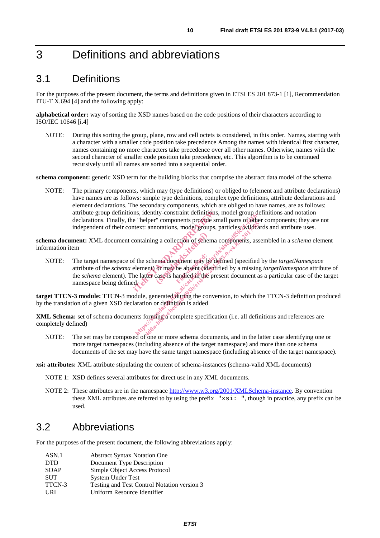# 3 Definitions and abbreviations

### 3.1 Definitions

For the purposes of the present document, the terms and definitions given in ETSI ES 201 873-1 [1], Recommendation ITU-T X.694 [4] and the following apply:

**alphabetical order:** way of sorting the XSD names based on the code positions of their characters according to ISO/IEC 10646 [i.4]

NOTE: During this sorting the group, plane, row and cell octets is considered, in this order. Names, starting with a character with a smaller code position take precedence Among the names with identical first character, names containing no more characters take precedence over all other names. Otherwise, names with the second character of smaller code position take precedence, etc. This algorithm is to be continued recursively until all names are sorted into a sequential order.

**schema component:** generic XSD term for the building blocks that comprise the abstract data model of the schema

NOTE: The primary components, which may (type definitions) or obliged to (element and attribute declarations) have names are as follows: simple type definitions, complex type definitions, attribute declarations and element declarations. The secondary components, which are obliged to have names, are as follows: attribute group definitions, identity-constraint definitions, model group definitions and notation declarations. Finally, the "helper" components provide small parts of other components; they are not independent of their context: annotations, model groups, particles, wildcards and attribute uses.

**schema document:** XML document containing a collection of schema components, assembled in a *schema* element information item

NOTE: The target namespace of the schema document may be defined (specified by the *targetNamespace* attribute of the *schema* element) or may be absent (identified by a missing *targetNamespace* attribute of the *schema* element). The latter case is handled in the present document as a particular case of the target namespace being defined. ins, identity-constraint definitions, model with the "helper" components provide small provide small provide small provide small containing a collection of schema component containing a collection of schema component for t g a collection of sehen<br>
ema document may be<br>
or may be absent (ide)<br>
case is handled in the p For the schema document spotted small parts of other<br>text: annotations, model groups, particles, wildcare<br>ontaining a collection of schema components, asset<br>the schema document may be defined (specified lement) or may be 4.45 components provide small pairs of schema<br>
2. annotations, model groups, particles, wildea<br>
ining a collection of schema components, ass<br>
schema document may be defined (specified<br>
ent) or may be absent (identified by

**target TTCN-3 module:** TTCN-3 module, generated during the conversion, to which the TTCN-3 definition produced by the translation of a given XSD declaration or definition is added

**XML Schema:** set of schema documents forming a complete specification (i.e. all definitions and references are completely defined)

NOTE: The set may be composed of one or more schema documents, and in the latter case identifying one or more target namespaces (including absence of the target namespace) and more than one schema documents of the set may have the same target namespace (including absence of the target namespace).

**xsi: attributes:** XML attribute stipulating the content of schema-instances (schema-valid XML documents)

- NOTE 1: XSD defines several attributes for direct use in any XML documents.
- NOTE 2: These attributes are in the namespace http://www.w3.org/2001/XMLSchema-instance. By convention these XML attributes are referred to by using the prefix "xsi: ", though in practice, any prefix can be used.

#### 3.2 Abbreviations

For the purposes of the present document, the following abbreviations apply:

| ASN.1       | <b>Abstract Syntax Notation One</b>         |
|-------------|---------------------------------------------|
| <b>DTD</b>  | Document Type Description                   |
| <b>SOAP</b> | Simple Object Access Protocol               |
| <b>SUT</b>  | <b>System Under Test</b>                    |
| TTCN-3      | Testing and Test Control Notation version 3 |
| <b>URI</b>  | Uniform Resource Identifier                 |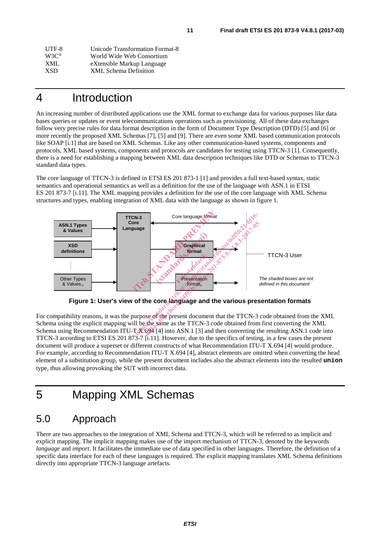| UTF-8             | Unicode Transformation Format-8 |
|-------------------|---------------------------------|
| $W3C^{\circledR}$ | World Wide Web Consortium       |
| XML               | eXtensible Markup Language      |
| <b>XSD</b>        | XML Schema Definition           |
|                   |                                 |

### 4 Introduction

An increasing number of distributed applications use the XML format to exchange data for various purposes like data bases queries or updates or event telecommunications operations such as provisioning. All of these data exchanges follow very precise rules for data format description in the form of Document Type Description (DTD) [5] and [6] or more recently the proposed XML Schemas [7], [5] and [9]. There are even some XML based communication protocols like SOAP [i.1] that are based on XML Schemas. Like any other communication-based systems, components and protocols, XML based systems, components and protocols are candidates for testing using TTCN-3 [1]. Consequently, there is a need for establishing a mapping between XML data description techniques like DTD or Schemas to TTCN-3 standard data types.

The core language of TTCN-3 is defined in ETSI ES 201 873-1 [1] and provides a full text-based syntax, static semantics and operational semantics as well as a definition for the use of the language with ASN.1 in ETSI ES 201 873-7 [i.11]. The XML mapping provides a definition for the use of the core language with XML Schema structures and types, enabling integration of XML data with the language as shown in figure 1.



**Figure 1: User's view of the core language and the various presentation formats** 

For compatibility reasons, it was the purpose of the present document that the TTCN-3 code obtained from the XML Schema using the explicit mapping will be the same as the TTCN-3 code obtained from first converting the XML Schema using Recommendation ITU-T X.694 [4] into ASN.1 [3] and then converting the resulting ASN.1 code into TTCN-3 according to ETSI ES 201 873-7 [i.11]. However, due to the specifics of testing, in a few cases the present document will produce a superset or different constructs of what Recommendation ITU-T X.694 [4] would produce. For example, according to Recommendation ITU-T X.694 [4], abstract elements are omitted when converting the head element of a substitution group, while the present document includes also the abstract elements into the resulted **union** type, thus allowing provoking the SUT with incorrect data.

## 5 Mapping XML Schemas

### 5.0 Approach

There are two approaches to the integration of XML Schema and TTCN-3, which will be referred to as implicit and explicit mapping. The implicit mapping makes use of the import mechanism of TTCN-3, denoted by the keywords *language* and *import*. It facilitates the immediate use of data specified in other languages. Therefore, the definition of a specific data interface for each of these languages is required. The explicit mapping translates XML Schema definitions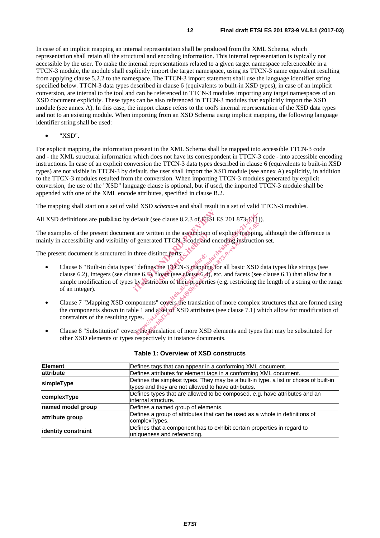In case of an implicit mapping an internal representation shall be produced from the XML Schema, which representation shall retain all the structural and encoding information. This internal representation is typically not accessible by the user. To make the internal representations related to a given target namespace referenceable in a TTCN-3 module, the module shall explicitly import the target namespace, using its TTCN-3 name equivalent resulting from applying clause 5.2.2 to the namespace. The TTCN-3 import statement shall use the language identifier string specified below. TTCN-3 data types described in clause 6 (equivalents to built-in XSD types), in case of an implicit conversion, are internal to the tool and can be referenced in TTCN-3 modules importing any target namespaces of an XSD document explicitly. These types can be also referenced in TTCN-3 modules that explicitly import the XSD module (see annex A). In this case, the import clause refers to the tool's internal representation of the XSD data types and not to an existing module. When importing from an XSD Schema using implicit mapping, the following language identifier string shall be used:

• "XSD".

For explicit mapping, the information present in the XML Schema shall be mapped into accessible TTCN-3 code and - the XML structural information which does not have its correspondent in TTCN-3 code - into accessible encoding instructions. In case of an explicit conversion the TTCN-3 data types described in clause 6 (equivalents to built-in XSD types) are not visible in TTCN-3 by default, the user shall import the XSD module (see annex A) explicitly, in addition to the TTCN-3 modules resulted from the conversion. When importing TTCN-3 modules generated by explicit conversion, the use of the "XSD" language clause is optional, but if used, the imported TTCN-3 module shall be appended with one of the XML encode attributes, specified in clause B.2.

The mapping shall start on a set of valid XSD *schema*-s and shall result in a set of valid TTCN-3 modules.

All XSD definitions are **public** by default (see clause 8.2.3 of ETSI ES 201 873-1 [1]).

The examples of the present document are written in the assumption of explicit mapping, although the difference is mainly in accessibility and visibility of generated TTCN-3 code and encoding instruction set.

The present document is structured in three distinct parts:

- Clause 6 "Built-in data types" defines the TTCN-3 mapping for all basic XSD data types like strings (see clause 6.2), integers (see clause 6.3), floats (see clause 6.4), etc. and facets (see clause 6.1) that allow for a simple modification of types by restriction of their properties (e.g. restricting the length of a string or the range of an integer). default (see clause 8.2.3 of ETSI ES 20<br>
it are written in the assumption of expl<br>
if generated TTCN-3 code and encodit<br>
three distinct parts:<br>
"<br>
defines the TTCN-3 mapping for all<br>
" defines the TTCN-3 mapping for all<br>
u (ten in the assumption<br>
ted TTCN-3 code and<br>
tinct parts:<br>
the TTCN-3 mapping<br>
floats (see clause 6.4),<br>
ction of their properties Example 1 and accelerate the control of the standards.<br>
Figure written in the assumption of explicit mapping<br>
igenerated TTCN 3 code and encoding instruction<br>
three distinct parts:<br>  $\frac{1}{2}$  and  $\frac{1}{2}$  and  $\frac{1}{2}$  a written in the assumption of explicit mapping<br>nerated TTCN-3-code and encoding instruction<br>e distinct parts:<br>example is a reaction of the TTCN-3 mapping for all basic XSD<br>fines the TTCN-3 mapping for all basic XSD<br>sestrict
- Clause 7 "Mapping XSD components" covers the translation of more complex structures that are formed using the components shown in table 1 and a set of XSD attributes (see clause 7.1) which allow for modification of constraints of the resulting types.
- Clause 8 "Substitution" covers the translation of more XSD elements and types that may be substituted for other XSD elements or types respectively in instance documents.

| <b>Element</b>      | Defines tags that can appear in a conforming XML document.                            |
|---------------------|---------------------------------------------------------------------------------------|
| attribute           | Defines attributes for element tags in a conforming XML document.                     |
| simpleType          | Defines the simplest types. They may be a built-in type, a list or choice of built-in |
|                     | types and they are not allowed to have attributes.                                    |
| complexType         | Defines types that are allowed to be composed, e.g. have attributes and an            |
|                     | internal structure.                                                                   |
| named model group   | Defines a named group of elements.                                                    |
| attribute group     | Defines a group of attributes that can be used as a whole in definitions of           |
|                     | complexTypes.                                                                         |
| identity constraint | Defines that a component has to exhibit certain properties in regard to               |
|                     | uniqueness and referencing.                                                           |

#### **Table 1: Overview of XSD constructs**